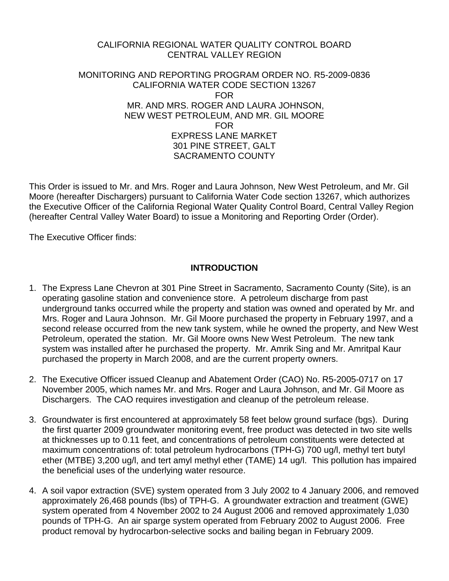# CALIFORNIA REGIONAL WATER QUALITY CONTROL BOARD CENTRAL VALLEY REGION

#### MONITORING AND REPORTING PROGRAM ORDER NO. R5-2009-0836 CALIFORNIA WATER CODE SECTION 13267 FOR MR. AND MRS. ROGER AND LAURA JOHNSON, NEW WEST PETROLEUM, AND MR. GIL MOORE FOR EXPRESS LANE MARKET 301 PINE STREET, GALT SACRAMENTO COUNTY

This Order is issued to Mr. and Mrs. Roger and Laura Johnson, New West Petroleum, and Mr. Gil Moore (hereafter Dischargers) pursuant to California Water Code section 13267, which authorizes the Executive Officer of the California Regional Water Quality Control Board, Central Valley Region (hereafter Central Valley Water Board) to issue a Monitoring and Reporting Order (Order).

The Executive Officer finds:

#### **INTRODUCTION**

- 1. The Express Lane Chevron at 301 Pine Street in Sacramento, Sacramento County (Site), is an operating gasoline station and convenience store. A petroleum discharge from past underground tanks occurred while the property and station was owned and operated by Mr. and Mrs. Roger and Laura Johnson. Mr. Gil Moore purchased the property in February 1997, and a second release occurred from the new tank system, while he owned the property, and New West Petroleum, operated the station. Mr. Gil Moore owns New West Petroleum. The new tank system was installed after he purchased the property. Mr. Amrik Sing and Mr. Amritpal Kaur purchased the property in March 2008, and are the current property owners.
- 2. The Executive Officer issued Cleanup and Abatement Order (CAO) No. R5-2005-0717 on 17 November 2005, which names Mr. and Mrs. Roger and Laura Johnson, and Mr. Gil Moore as Dischargers. The CAO requires investigation and cleanup of the petroleum release.
- 3. Groundwater is first encountered at approximately 58 feet below ground surface (bgs). During the first quarter 2009 groundwater monitoring event, free product was detected in two site wells at thicknesses up to 0.11 feet, and concentrations of petroleum constituents were detected at maximum concentrations of: total petroleum hydrocarbons (TPH-G) 700 ug/l, methyl tert butyl ether (MTBE) 3,200 ug/l, and tert amyl methyl ether (TAME) 14 ug/l. This pollution has impaired the beneficial uses of the underlying water resource.
- 4. A soil vapor extraction (SVE) system operated from 3 July 2002 to 4 January 2006, and removed approximately 26,468 pounds (lbs) of TPH-G. A groundwater extraction and treatment (GWE) system operated from 4 November 2002 to 24 August 2006 and removed approximately 1,030 pounds of TPH-G. An air sparge system operated from February 2002 to August 2006. Free product removal by hydrocarbon-selective socks and bailing began in February 2009.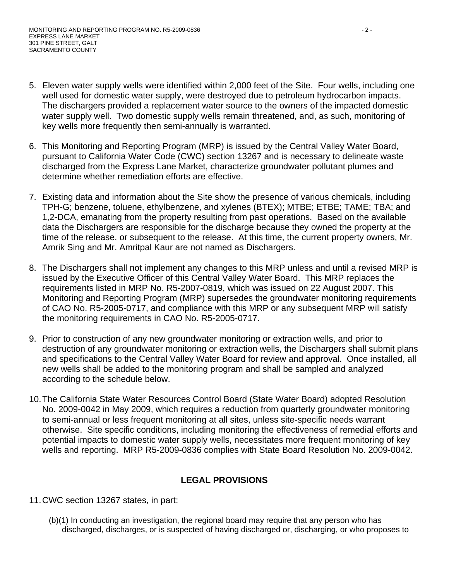- 5. Eleven water supply wells were identified within 2,000 feet of the Site. Four wells, including one well used for domestic water supply, were destroyed due to petroleum hydrocarbon impacts. The dischargers provided a replacement water source to the owners of the impacted domestic water supply well. Two domestic supply wells remain threatened, and, as such, monitoring of key wells more frequently then semi-annually is warranted.
- 6. This Monitoring and Reporting Program (MRP) is issued by the Central Valley Water Board, pursuant to California Water Code (CWC) section 13267 and is necessary to delineate waste discharged from the Express Lane Market, characterize groundwater pollutant plumes and determine whether remediation efforts are effective.
- 7. Existing data and information about the Site show the presence of various chemicals, including TPH-G; benzene, toluene, ethylbenzene, and xylenes (BTEX); MTBE; ETBE; TAME; TBA; and 1,2-DCA, emanating from the property resulting from past operations. Based on the available data the Dischargers are responsible for the discharge because they owned the property at the time of the release, or subsequent to the release. At this time, the current property owners, Mr. Amrik Sing and Mr. Amritpal Kaur are not named as Dischargers.
- 8. The Dischargers shall not implement any changes to this MRP unless and until a revised MRP is issued by the Executive Officer of this Central Valley Water Board. This MRP replaces the requirements listed in MRP No. R5-2007-0819, which was issued on 22 August 2007. This Monitoring and Reporting Program (MRP) supersedes the groundwater monitoring requirements of CAO No. R5-2005-0717, and compliance with this MRP or any subsequent MRP will satisfy the monitoring requirements in CAO No. R5-2005-0717.
- 9. Prior to construction of any new groundwater monitoring or extraction wells, and prior to destruction of any groundwater monitoring or extraction wells, the Dischargers shall submit plans and specifications to the Central Valley Water Board for review and approval. Once installed, all new wells shall be added to the monitoring program and shall be sampled and analyzed according to the schedule below.
- 10. The California State Water Resources Control Board (State Water Board) adopted Resolution No. 2009-0042 in May 2009, which requires a reduction from quarterly groundwater monitoring to semi-annual or less frequent monitoring at all sites, unless site-specific needs warrant otherwise. Site specific conditions, including monitoring the effectiveness of remedial efforts and potential impacts to domestic water supply wells, necessitates more frequent monitoring of key wells and reporting. MRP R5-2009-0836 complies with State Board Resolution No. 2009-0042.

## **LEGAL PROVISIONS**

- 11. CWC section 13267 states, in part:
	- (b)(1) In conducting an investigation, the regional board may require that any person who has discharged, discharges, or is suspected of having discharged or, discharging, or who proposes to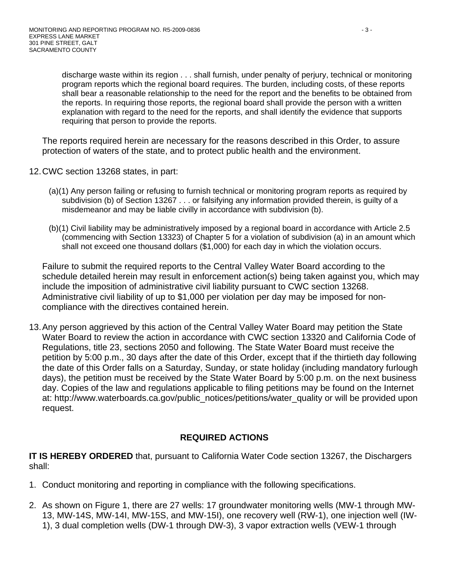discharge waste within its region . . . shall furnish, under penalty of perjury, technical or monitoring program reports which the regional board requires. The burden, including costs, of these reports shall bear a reasonable relationship to the need for the report and the benefits to be obtained from the reports. In requiring those reports, the regional board shall provide the person with a written explanation with regard to the need for the reports, and shall identify the evidence that supports requiring that person to provide the reports.

The reports required herein are necessary for the reasons described in this Order, to assure protection of waters of the state, and to protect public health and the environment.

- 12. CWC section 13268 states, in part:
	- (a)(1) Any person failing or refusing to furnish technical or monitoring program reports as required by subdivision (b) of Section 13267 . . . or falsifying any information provided therein, is quilty of a misdemeanor and may be liable civilly in accordance with subdivision (b).
	- (b)(1) Civil liability may be administratively imposed by a regional board in accordance with Article 2.5 (commencing with Section 13323) of Chapter 5 for a violation of subdivision (a) in an amount which shall not exceed one thousand dollars (\$1,000) for each day in which the violation occurs.

Failure to submit the required reports to the Central Valley Water Board according to the schedule detailed herein may result in enforcement action(s) being taken against you, which may include the imposition of administrative civil liability pursuant to CWC section 13268. Administrative civil liability of up to \$1,000 per violation per day may be imposed for noncompliance with the directives contained herein.

13. Any person aggrieved by this action of the Central Valley Water Board may petition the State Water Board to review the action in accordance with CWC section 13320 and California Code of Regulations, title 23, sections 2050 and following. The State Water Board must receive the petition by 5:00 p.m., 30 days after the date of this Order, except that if the thirtieth day following the date of this Order falls on a Saturday, Sunday, or state holiday (including mandatory furlough days), the petition must be received by the State Water Board by 5:00 p.m. on the next business day. Copies of the law and regulations applicable to filing petitions may be found on the Internet at: http://www.waterboards.ca.gov/public\_notices/petitions/water\_quality or will be provided upon request.

## **REQUIRED ACTIONS**

**IT IS HEREBY ORDERED** that, pursuant to California Water Code section 13267, the Dischargers shall:

- 1. Conduct monitoring and reporting in compliance with the following specifications.
- 2. As shown on Figure 1, there are 27 wells: 17 groundwater monitoring wells (MW-1 through MW-13, MW-14S, MW-14I, MW-15S, and MW-15I), one recovery well (RW-1), one injection well (IW-1), 3 dual completion wells (DW-1 through DW-3), 3 vapor extraction wells (VEW-1 through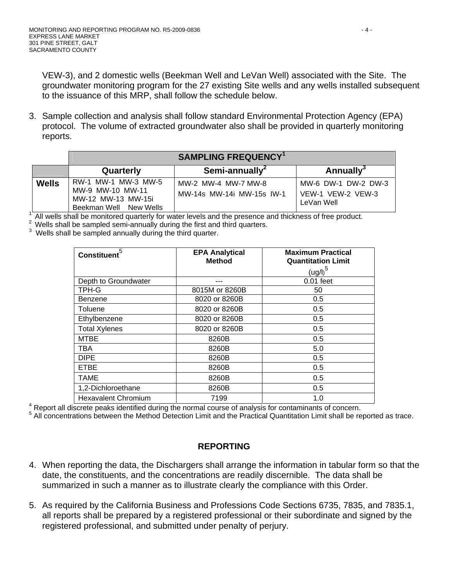VEW-3), and 2 domestic wells (Beekman Well and LeVan Well) associated with the Site. The groundwater monitoring program for the 27 existing Site wells and any wells installed subsequent to the issuance of this MRP, shall follow the schedule below.

3. Sample collection and analysis shall follow standard Environmental Protection Agency (EPA) protocol. The volume of extracted groundwater also shall be provided in quarterly monitoring reports.

|              | <b>SAMPLING FREQUENCY<sup>1</sup></b>                                                   |                                                  |                                                        |
|--------------|-----------------------------------------------------------------------------------------|--------------------------------------------------|--------------------------------------------------------|
|              | Quarterly                                                                               | Semi-annually <sup>2</sup>                       | Annually <sup>3</sup>                                  |
| <b>Wells</b> | RW-1 MW-1 MW-3 MW-5<br>MW-9 MW-10 MW-11<br>MW-12 MW-13 MW-15i<br>Beekman Well New Wells | MW-2 MW-4 MW-7 MW-8<br>MW-14s MW-14i MW-15s IW-1 | MW-6 DW-1 DW-2 DW-3<br>VEW-1 VEW-2 VEW-3<br>LeVan Well |

 $\frac{1}{2}$  All wells shall be monitored quarterly for water levels and the presence and thickness of free product.  $\frac{2}{3}$  Wells shall be sampled semi-annually during the first and third quarters.

 $3$  Wells shall be sampled annually during the third quarter.

| Constituent $^5\,$         | <b>EPA Analytical</b><br><b>Method</b> | <b>Maximum Practical</b><br><b>Quantitation Limit</b> |
|----------------------------|----------------------------------------|-------------------------------------------------------|
|                            |                                        | $\left(\underline{u}\underline{g}/I\right)^5$         |
| Depth to Groundwater       |                                        | $0.01$ feet                                           |
| TPH-G                      | 8015M or 8260B                         | 50                                                    |
| Benzene                    | 8020 or 8260B                          | 0.5                                                   |
| Toluene                    | 8020 or 8260B                          | 0.5                                                   |
| Ethylbenzene               | 8020 or 8260B                          | 0.5                                                   |
| <b>Total Xylenes</b>       | 8020 or 8260B                          | 0.5                                                   |
| <b>MTBE</b>                | 8260B                                  | 0.5                                                   |
| <b>TBA</b>                 | 8260B                                  | 5.0                                                   |
| <b>DIPE</b>                | 8260B                                  | 0.5                                                   |
| <b>ETBE</b>                | 8260B                                  | 0.5                                                   |
| <b>TAME</b>                | 8260B                                  | 0.5                                                   |
| 1,2-Dichloroethane         | 8260B                                  | 0.5                                                   |
| <b>Hexavalent Chromium</b> | 7199                                   | 1.0                                                   |

<sup>4</sup> Report all discrete peaks identified during the normal course of analysis for contaminants of concern.<br><sup>5</sup> All concentrations between the Mathod Detection Limit and the Prestical Quantitation Limit shall be re-

<sup>5</sup> All concentrations between the Method Detection Limit and the Practical Quantitation Limit shall be reported as trace.

#### **REPORTING**

- 4. When reporting the data, the Dischargers shall arrange the information in tabular form so that the date, the constituents, and the concentrations are readily discernible. The data shall be summarized in such a manner as to illustrate clearly the compliance with this Order.
- 5. As required by the California Business and Professions Code Sections 6735, 7835, and 7835.1, all reports shall be prepared by a registered professional or their subordinate and signed by the registered professional, and submitted under penalty of perjury.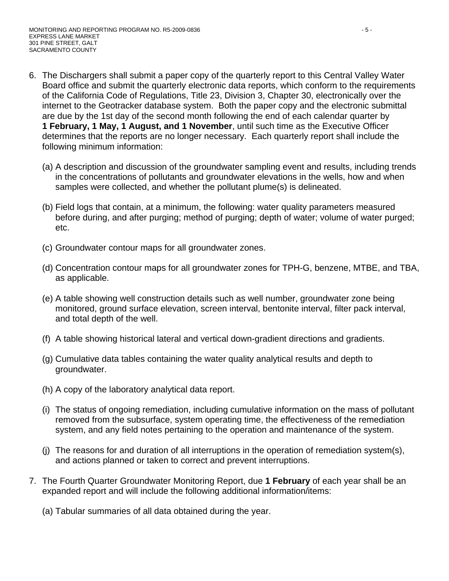- 6. The Dischargers shall submit a paper copy of the quarterly report to this Central Valley Water Board office and submit the quarterly electronic data reports, which conform to the requirements of the California Code of Regulations, Title 23, Division 3, Chapter 30, electronically over the internet to the Geotracker database system. Both the paper copy and the electronic submittal are due by the 1st day of the second month following the end of each calendar quarter by **1 February, 1 May, 1 August, and 1 November**, until such time as the Executive Officer determines that the reports are no longer necessary. Each quarterly report shall include the following minimum information:
	- (a) A description and discussion of the groundwater sampling event and results, including trends in the concentrations of pollutants and groundwater elevations in the wells, how and when samples were collected, and whether the pollutant plume(s) is delineated.
	- (b) Field logs that contain, at a minimum, the following: water quality parameters measured before during, and after purging; method of purging; depth of water; volume of water purged; etc.
	- (c) Groundwater contour maps for all groundwater zones.
	- (d) Concentration contour maps for all groundwater zones for TPH-G, benzene, MTBE, and TBA, as applicable.
	- (e) A table showing well construction details such as well number, groundwater zone being monitored, ground surface elevation, screen interval, bentonite interval, filter pack interval, and total depth of the well.
	- (f) A table showing historical lateral and vertical down-gradient directions and gradients.
	- (g) Cumulative data tables containing the water quality analytical results and depth to groundwater.
	- (h) A copy of the laboratory analytical data report.
	- (i) The status of ongoing remediation, including cumulative information on the mass of pollutant removed from the subsurface, system operating time, the effectiveness of the remediation system, and any field notes pertaining to the operation and maintenance of the system.
	- (j) The reasons for and duration of all interruptions in the operation of remediation system(s), and actions planned or taken to correct and prevent interruptions.
- 7. The Fourth Quarter Groundwater Monitoring Report, due **1 February** of each year shall be an expanded report and will include the following additional information/items:
	- (a) Tabular summaries of all data obtained during the year.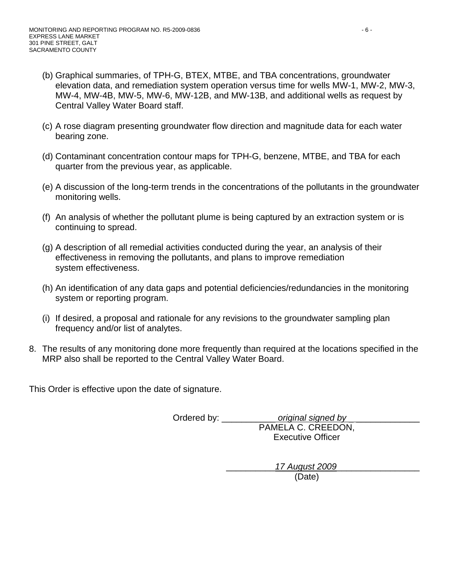- (b) Graphical summaries, of TPH-G, BTEX, MTBE, and TBA concentrations, groundwater elevation data, and remediation system operation versus time for wells MW-1, MW-2, MW-3, MW-4, MW-4B, MW-5, MW-6, MW-12B, and MW-13B, and additional wells as request by Central Valley Water Board staff.
- (c) A rose diagram presenting groundwater flow direction and magnitude data for each water bearing zone.
- (d) Contaminant concentration contour maps for TPH-G, benzene, MTBE, and TBA for each quarter from the previous year, as applicable.
- (e) A discussion of the long-term trends in the concentrations of the pollutants in the groundwater monitoring wells.
- (f) An analysis of whether the pollutant plume is being captured by an extraction system or is continuing to spread.
- (g) A description of all remedial activities conducted during the year, an analysis of their effectiveness in removing the pollutants, and plans to improve remediation system effectiveness.
- (h) An identification of any data gaps and potential deficiencies/redundancies in the monitoring system or reporting program.
- (i) If desired, a proposal and rationale for any revisions to the groundwater sampling plan frequency and/or list of analytes.
- 8. The results of any monitoring done more frequently than required at the locations specified in the MRP also shall be reported to the Central Valley Water Board.

This Order is effective upon the date of signature.

Ordered by: \_\_\_\_\_\_\_\_\_\_\_\_\_\_\_\_\_\_\_\_\_\_original signed by PAMELA C. CREEDON, Executive Officer

> \_\_\_\_\_\_\_\_\_\_*17 August 2009*\_\_\_\_\_\_\_\_\_\_\_\_\_\_\_\_\_ (Date)